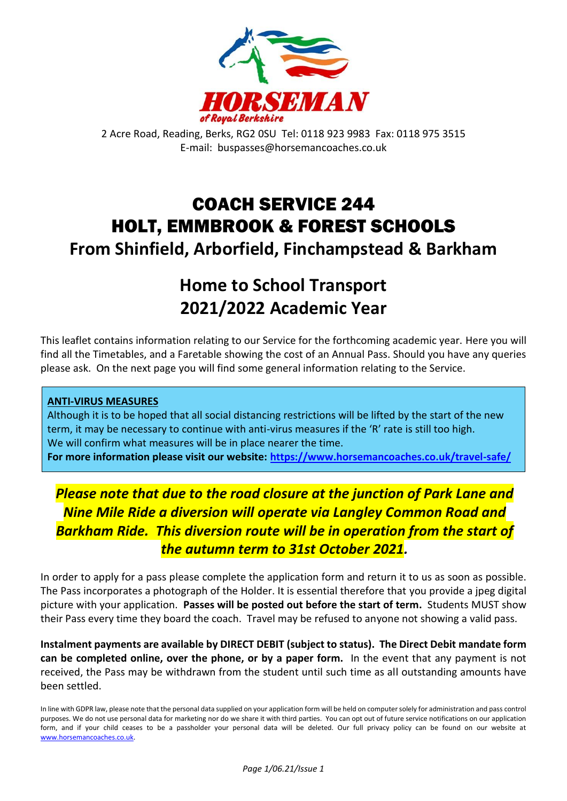

2 Acre Road, Reading, Berks, RG2 0SU Tel: 0118 923 9983 Fax: 0118 975 3515 E-mail: buspasses@horsemancoaches.co.uk

# COACH SERVICE 244 HOLT, EMMBROOK & FOREST SCHOOLS **From Shinfield, Arborfield, Finchampstead & Barkham**

# **Home to School Transport 2021/2022 Academic Year**

This leaflet contains information relating to our Service for the forthcoming academic year. Here you will find all the Timetables, and a Faretable showing the cost of an Annual Pass. Should you have any queries please ask. On the next page you will find some general information relating to the Service.

### **ANTI-VIRUS MEASURES**

Although it is to be hoped that all social distancing restrictions will be lifted by the start of the new term, it may be necessary to continue with anti-virus measures if the 'R' rate is still too high. We will confirm what measures will be in place nearer the time.

**For more information please visit our website:<https://www.horsemancoaches.co.uk/travel-safe/>**

# *Please note that due to the road closure at the junction of Park Lane and Nine Mile Ride a diversion will operate via Langley Common Road and*  **Barkham Ride. This diversion route will be in operation from the start of** *the autumn term to 31st October 2021.*

In order to apply for a pass please complete the application form and return it to us as soon as possible. The Pass incorporates a photograph of the Holder. It is essential therefore that you provide a jpeg digital picture with your application. **Passes will be posted out before the start of term.** Students MUST show their Pass every time they board the coach. Travel may be refused to anyone not showing a valid pass.

**Instalment payments are available by DIRECT DEBIT (subject to status). The Direct Debit mandate form can be completed online, over the phone, or by a paper form.** In the event that any payment is not received, the Pass may be withdrawn from the student until such time as all outstanding amounts have been settled.

In line with GDPR law, please note that the personal data supplied on your application form will be held on computer solely for administration and pass control purposes. We do not use personal data for marketing nor do we share it with third parties. You can opt out of future service notifications on our application form, and if your child ceases to be a passholder your personal data will be deleted. Our full privacy policy can be found on our website at [www.horsemancoaches.co.uk.](http://www.horsemancoaches.co.uk/)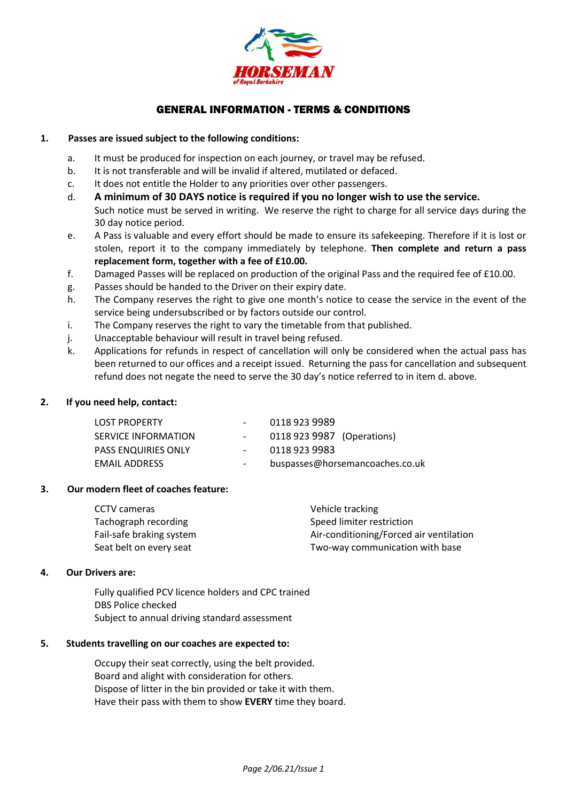

#### GENERAL INFORMATION - TERMS & CONDITIONS

#### **1. Passes are issued subject to the following conditions:**

- a. It must be produced for inspection on each journey, or travel may be refused.
- b. It is not transferable and will be invalid if altered, mutilated or defaced.
- c. It does not entitle the Holder to any priorities over other passengers.
- d. **A minimum of 30 DAYS notice is required if you no longer wish to use the service.**
	- Such notice must be served in writing. We reserve the right to charge for all service days during the 30 day notice period.
- e. A Pass is valuable and every effort should be made to ensure its safekeeping. Therefore if it is lost or stolen, report it to the company immediately by telephone. **Then complete and return a pass replacement form, together with a fee of £10.00.**
- f. Damaged Passes will be replaced on production of the original Pass and the required fee of £10.00.
- g. Passes should be handed to the Driver on their expiry date.
- h. The Company reserves the right to give one month's notice to cease the service in the event of the service being undersubscribed or by factors outside our control.
- i. The Company reserves the right to vary the timetable from that published.
- j. Unacceptable behaviour will result in travel being refused.
- k. Applications for refunds in respect of cancellation will only be considered when the actual pass has been returned to our offices and a receipt issued. Returning the pass for cancellation and subsequent refund does not negate the need to serve the 30 day's notice referred to in item d. above.

#### **2. If you need help, contact:**

| <b>LOST PROPERTY</b>       |        | 0118 923 9989                   |
|----------------------------|--------|---------------------------------|
| SERVICE INFORMATION        |        | 0118 923 9987 (Operations)      |
| <b>PASS ENQUIRIES ONLY</b> | $\sim$ | 0118 923 9983                   |
| <b>EMAIL ADDRESS</b>       | $\sim$ | buspasses@horsemancoaches.co.uk |

#### **3. Our modern fleet of coaches feature:**

| CCTV cameras             | Vehicle tracking                        |
|--------------------------|-----------------------------------------|
| Tachograph recording     | Speed limiter restriction               |
| Fail-safe braking system | Air-conditioning/Forced air ventilation |
| Seat belt on every seat  | Two-way communication with base         |

#### **4. Our Drivers are:**

Fully qualified PCV licence holders and CPC trained DBS Police checked Subject to annual driving standard assessment

#### **5. Students travelling on our coaches are expected to:**

Occupy their seat correctly, using the belt provided. Board and alight with consideration for others. Dispose of litter in the bin provided or take it with them. Have their pass with them to show **EVERY** time they board.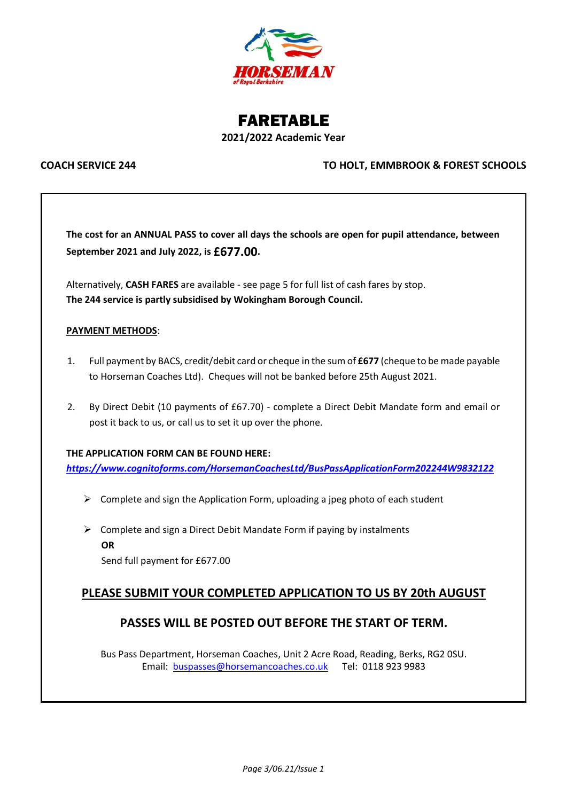

## FARETABLE **2021/2022 Academic Year**

#### **COACH SERVICE 244 TO HOLT, EMMBROOK & FOREST SCHOOLS**

**The cost for an ANNUAL PASS to cover all days the schools are open for pupil attendance, between September 2021 and July 2022, is £677.00.**

Alternatively, **CASH FARES** are available - see page 5 for full list of cash fares by stop. **The 244 service is partly subsidised by Wokingham Borough Council.**

#### **PAYMENT METHODS**:

- 1. Full payment by BACS, credit/debit card or cheque in the sum of **£677** (cheque to be made payable to Horseman Coaches Ltd). Cheques will not be banked before 25th August 2021.
- 2. By Direct Debit (10 payments of £67.70) complete a Direct Debit Mandate form and email or post it back to us, or call us to set it up over the phone.

#### **THE APPLICATION FORM CAN BE FOUND HERE:**

*<https://www.cognitoforms.com/HorsemanCoachesLtd/BusPassApplicationForm202244W9832122>*

- $\triangleright$  Complete and sign the Application Form, uploading a jpeg photo of each student
- $\triangleright$  Complete and sign a Direct Debit Mandate Form if paying by instalments **OR** Send full payment for £677.00

### **PLEASE SUBMIT YOUR COMPLETED APPLICATION TO US BY 20th AUGUST**

### **PASSES WILL BE POSTED OUT BEFORE THE START OF TERM.**

Bus Pass Department, Horseman Coaches, Unit 2 Acre Road, Reading, Berks, RG2 0SU. Email: [buspasses@horsemancoaches.co.uk](mailto:buspasses@horsemancoaches.co.uk) Tel: 0118 923 9983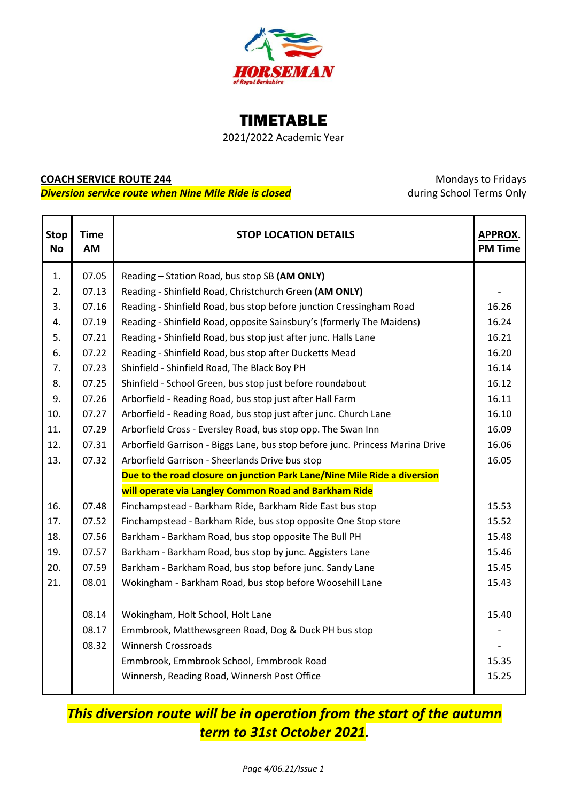

# TIMETABLE

2021/2022 Academic Year

# **COACH SERVICE ROUTE 244 COACH SERVICE ROUTE 244 Mondays to Fridays**

**Diversion service route when Nine Mile Ride is closed** during School Terms Only

| <b>Stop</b><br><b>No</b> | <b>Time</b><br>AM | <b>STOP LOCATION DETAILS</b>                                                  | <b>APPROX.</b><br><b>PM Time</b> |
|--------------------------|-------------------|-------------------------------------------------------------------------------|----------------------------------|
| 1.                       | 07.05             | Reading - Station Road, bus stop SB (AM ONLY)                                 |                                  |
| 2.                       | 07.13             | Reading - Shinfield Road, Christchurch Green (AM ONLY)                        |                                  |
| 3.                       | 07.16             | Reading - Shinfield Road, bus stop before junction Cressingham Road           |                                  |
| 4.                       | 07.19             | Reading - Shinfield Road, opposite Sainsbury's (formerly The Maidens)         |                                  |
| 5.                       | 07.21             | Reading - Shinfield Road, bus stop just after junc. Halls Lane<br>16.21       |                                  |
| 6.                       | 07.22             | 16.20<br>Reading - Shinfield Road, bus stop after Ducketts Mead               |                                  |
| 7.                       | 07.23             | 16.14<br>Shinfield - Shinfield Road, The Black Boy PH                         |                                  |
| 8.                       | 07.25             | Shinfield - School Green, bus stop just before roundabout<br>16.12            |                                  |
| 9.                       | 07.26             | Arborfield - Reading Road, bus stop just after Hall Farm<br>16.11             |                                  |
| 10.                      | 07.27             | Arborfield - Reading Road, bus stop just after junc. Church Lane              | 16.10                            |
| 11.                      | 07.29             | Arborfield Cross - Eversley Road, bus stop opp. The Swan Inn                  |                                  |
| 12.                      | 07.31             | Arborfield Garrison - Biggs Lane, bus stop before junc. Princess Marina Drive | 16.06                            |
| 13.                      | 07.32             | Arborfield Garrison - Sheerlands Drive bus stop                               | 16.05                            |
|                          |                   | Due to the road closure on junction Park Lane/Nine Mile Ride a diversion      |                                  |
|                          |                   | will operate via Langley Common Road and Barkham Ride                         |                                  |
| 16.                      | 07.48             | Finchampstead - Barkham Ride, Barkham Ride East bus stop                      | 15.53                            |
| 17.                      | 07.52             | Finchampstead - Barkham Ride, bus stop opposite One Stop store                | 15.52                            |
| 18.                      | 07.56             | Barkham - Barkham Road, bus stop opposite The Bull PH                         | 15.48                            |
| 19.                      | 07.57             | Barkham - Barkham Road, bus stop by junc. Aggisters Lane                      | 15.46                            |
| 20.                      | 07.59             | Barkham - Barkham Road, bus stop before junc. Sandy Lane                      | 15.45                            |
| 21.                      | 08.01             | Wokingham - Barkham Road, bus stop before Woosehill Lane                      | 15.43                            |
|                          |                   |                                                                               |                                  |
|                          | 08.14             | Wokingham, Holt School, Holt Lane                                             | 15.40                            |
|                          | 08.17             | Emmbrook, Matthewsgreen Road, Dog & Duck PH bus stop                          |                                  |
|                          | 08.32             | <b>Winnersh Crossroads</b>                                                    |                                  |
|                          |                   | Emmbrook, Emmbrook School, Emmbrook Road                                      | 15.35                            |
|                          |                   | Winnersh, Reading Road, Winnersh Post Office                                  | 15.25                            |

*This diversion route will be in operation from the start of the autumn term to 31st October 2021.*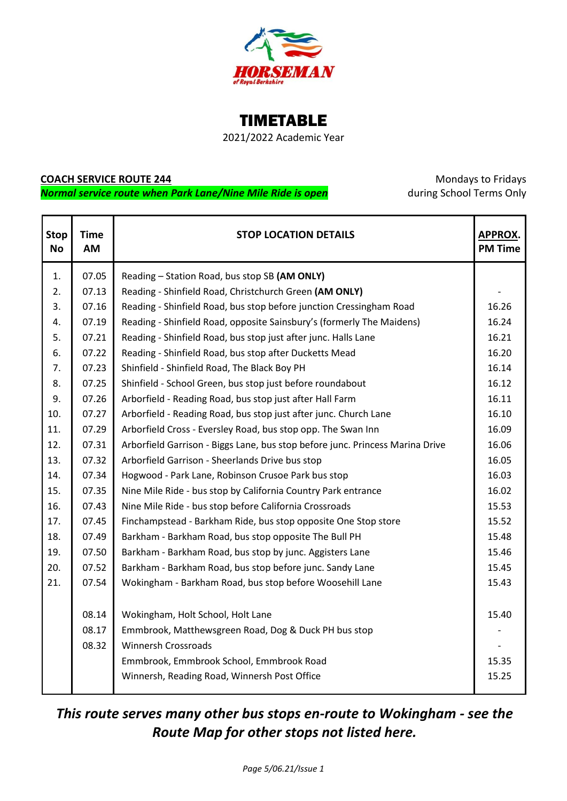

TIMETABLE

2021/2022 Academic Year

#### **COACH SERVICE ROUTE 244** Mondays to Fridays

**Normal service route when Park Lane/Nine Mile Ride is open** during School Terms Only

| <b>Stop</b><br><b>No</b> | <b>Time</b><br>AM | <b>STOP LOCATION DETAILS</b>                                                  | <b>APPROX.</b><br><b>PM Time</b> |
|--------------------------|-------------------|-------------------------------------------------------------------------------|----------------------------------|
| 1.                       | 07.05             | Reading - Station Road, bus stop SB (AM ONLY)                                 |                                  |
| 2.                       | 07.13             | Reading - Shinfield Road, Christchurch Green (AM ONLY)                        |                                  |
| 3.                       | 07.16             | Reading - Shinfield Road, bus stop before junction Cressingham Road           |                                  |
| 4.                       | 07.19             | Reading - Shinfield Road, opposite Sainsbury's (formerly The Maidens)         |                                  |
| 5.                       | 07.21             | Reading - Shinfield Road, bus stop just after junc. Halls Lane                |                                  |
| 6.                       | 07.22             | Reading - Shinfield Road, bus stop after Ducketts Mead                        |                                  |
| 7.                       | 07.23             | Shinfield - Shinfield Road, The Black Boy PH                                  |                                  |
| 8.                       | 07.25             | Shinfield - School Green, bus stop just before roundabout                     | 16.12                            |
| 9.                       | 07.26             | Arborfield - Reading Road, bus stop just after Hall Farm                      | 16.11                            |
| 10.                      | 07.27             | Arborfield - Reading Road, bus stop just after junc. Church Lane              | 16.10                            |
| 11.                      | 07.29             | Arborfield Cross - Eversley Road, bus stop opp. The Swan Inn                  | 16.09                            |
| 12.                      | 07.31             | Arborfield Garrison - Biggs Lane, bus stop before junc. Princess Marina Drive | 16.06                            |
| 13.                      | 07.32             | Arborfield Garrison - Sheerlands Drive bus stop                               | 16.05                            |
| 14.                      | 07.34             | Hogwood - Park Lane, Robinson Crusoe Park bus stop                            | 16.03                            |
| 15.                      | 07.35             | 16.02<br>Nine Mile Ride - bus stop by California Country Park entrance        |                                  |
| 16.                      | 07.43             | 15.53<br>Nine Mile Ride - bus stop before California Crossroads               |                                  |
| 17.                      | 07.45             | Finchampstead - Barkham Ride, bus stop opposite One Stop store<br>15.52       |                                  |
| 18.                      | 07.49             | Barkham - Barkham Road, bus stop opposite The Bull PH                         | 15.48                            |
| 19.                      | 07.50             | Barkham - Barkham Road, bus stop by junc. Aggisters Lane                      | 15.46                            |
| 20.                      | 07.52             | Barkham - Barkham Road, bus stop before junc. Sandy Lane                      | 15.45                            |
| 21.                      | 07.54             | Wokingham - Barkham Road, bus stop before Woosehill Lane                      | 15.43                            |
|                          |                   |                                                                               |                                  |
|                          | 08.14             | Wokingham, Holt School, Holt Lane                                             | 15.40                            |
|                          | 08.17             | Emmbrook, Matthewsgreen Road, Dog & Duck PH bus stop                          |                                  |
|                          | 08.32             | <b>Winnersh Crossroads</b>                                                    |                                  |
|                          |                   | Emmbrook, Emmbrook School, Emmbrook Road                                      | 15.35                            |
|                          |                   | Winnersh, Reading Road, Winnersh Post Office                                  | 15.25                            |
|                          |                   |                                                                               |                                  |

# *This route serves many other bus stops en-route to Wokingham - see the Route Map for other stops not listed here.*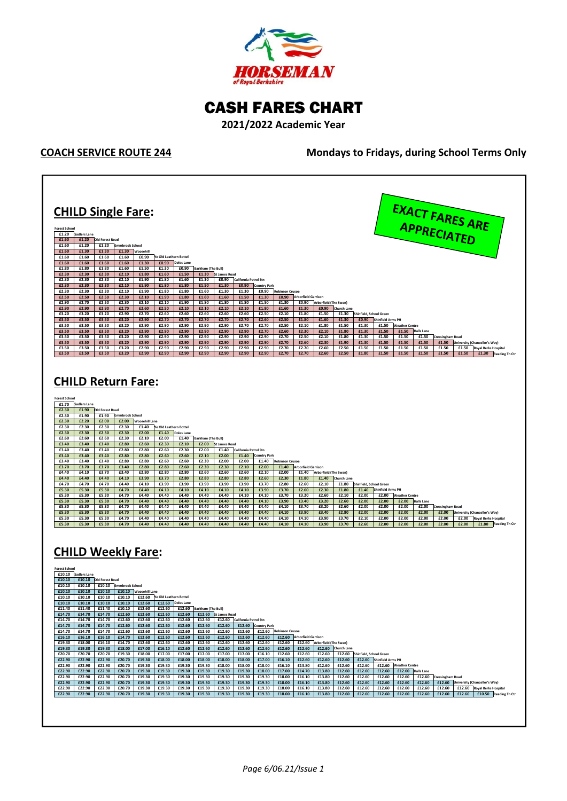

## CASH FARES CHART

**2021/2022 Academic Year**

**COACH SERVICE ROUTE 244 Mondays to Fridays, during School Terms Only**